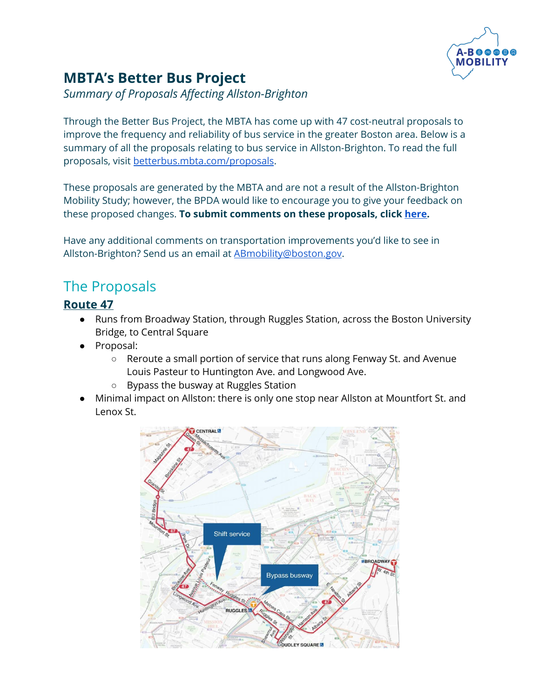

# **MBTA's Better Bus Project**

*Summary of Proposals Affecting Allston-Brighton*

Through the Better Bus Project, the MBTA has come up with 47 cost-neutral proposals to improve the frequency and reliability of bus service in the greater Boston area. Below is a summary of all the proposals relating to bus service in Allston-Brighton. To read the full proposals, visit [betterbus.mbta.com/proposals](http://betterbus.mbta.com/proposals).

These proposals are generated by the MBTA and are not a result of the Allston-Brighton Mobility Study; however, the BPDA would like to encourage you to give your feedback on these proposed changes. **To submit comments on these proposals, click [here](https://reginavilla.az1.qualtrics.com/jfe/form/SV_3wRAvWIOl6pmhW5).**

Have any additional comments on transportation improvements you'd like to see in Allston-Brighton? Send us an email at [ABmobility@boston.gov.](mailto:ABmobility@boston.gov)

## The Proposals

## **[Route](https://betterbus.mbta.com/route-47) 47**

- Runs from Broadway Station, through Ruggles Station, across the Boston University Bridge, to Central Square
- Proposal:
	- Reroute a small portion of service that runs along Fenway St. and Avenue Louis Pasteur to Huntington Ave. and Longwood Ave.
	- Bypass the busway at Ruggles Station
- Minimal impact on Allston: there is only one stop near Allston at Mountfort St. and Lenox St.

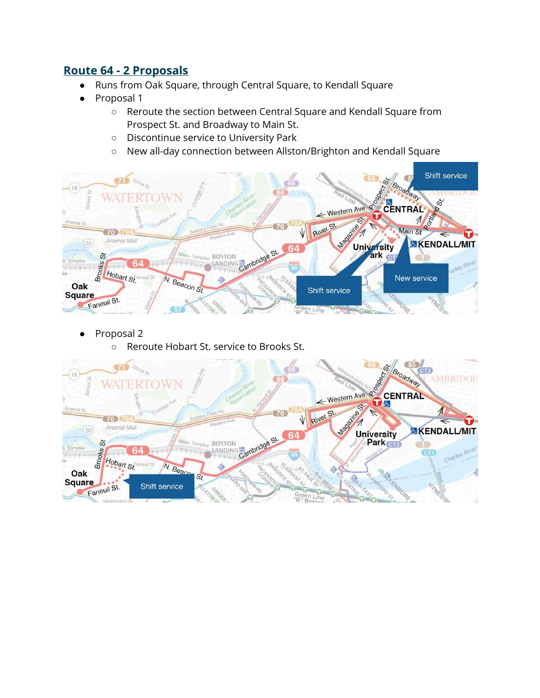### **Route 64 - 2 [Proposals](https://betterbus.mbta.com/route-64)**

- Runs from Oak Square, through Central Square, to Kendall Square
- Proposal 1
	- Reroute the section between Central Square and Kendall Square from Prospect St. and Broadway to Main St.
	- Discontinue service to University Park
	- New all-day connection between Allston/Brighton and Kendall Square



- Proposal 2
	- Reroute Hobart St. service to Brooks St.

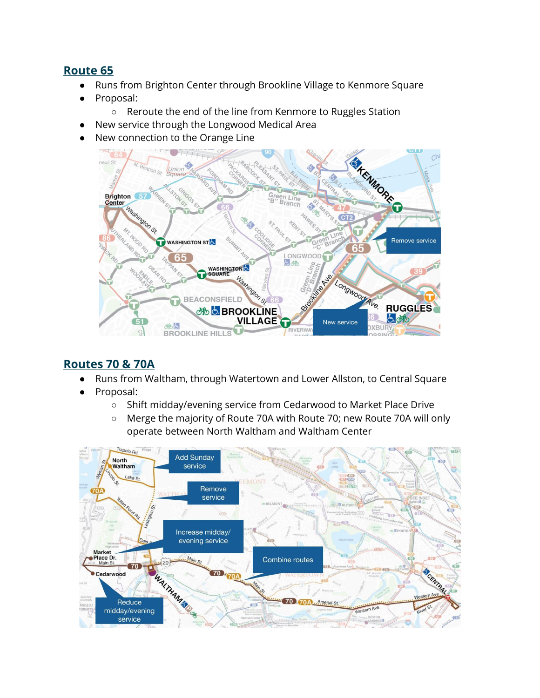### **[Route](https://betterbus.mbta.com/route-65) 65**

- Runs from Brighton Center through Brookline Village to Kenmore Square
- Proposal:
	- Reroute the end of the line from Kenmore to Ruggles Station
- New service through the Longwood Medical Area
- New connection to the Orange Line



#### **[Routes](https://betterbus.mbta.com/route-70-70a) 70 & 70A**

- Runs from Waltham, through Watertown and Lower Allston, to Central Square
- Proposal:
	- Shift midday/evening service from Cedarwood to Market Place Drive
	- Merge the majority of Route 70A with Route 70; new Route 70A will only operate between North Waltham and Waltham Center